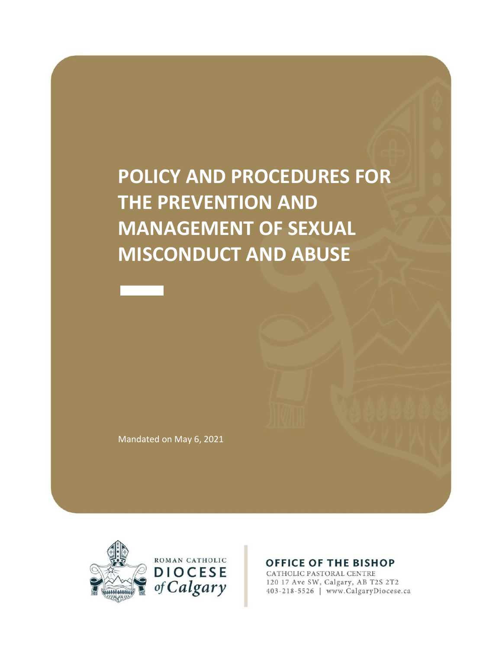# **POLICY AND PROCEDURES FOR THE PREVENTION AND MANAGEMENT OF SEXUAL MISCONDUCT AND ABUSE**

Mandated on May 6, 2021



#### **OFFICE OF THE BISHOP**

CATHOLIC PASTORAL CENTRE 120 17 Ave SW, Calgary, AB T2S 2T2 403-218-5526 | www.CalgaryDiocese.ca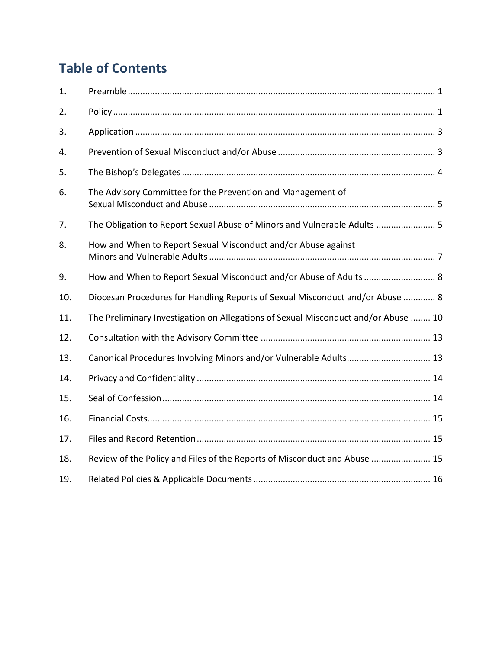# **Table of Contents**

| 1.  |                                                                                    |
|-----|------------------------------------------------------------------------------------|
| 2.  |                                                                                    |
| 3.  |                                                                                    |
| 4.  |                                                                                    |
| 5.  |                                                                                    |
| 6.  | The Advisory Committee for the Prevention and Management of                        |
| 7.  | The Obligation to Report Sexual Abuse of Minors and Vulnerable Adults  5           |
| 8.  | How and When to Report Sexual Misconduct and/or Abuse against                      |
| 9.  | How and When to Report Sexual Misconduct and/or Abuse of Adults  8                 |
| 10. | Diocesan Procedures for Handling Reports of Sexual Misconduct and/or Abuse  8      |
| 11. | The Preliminary Investigation on Allegations of Sexual Misconduct and/or Abuse  10 |
| 12. |                                                                                    |
| 13. | Canonical Procedures Involving Minors and/or Vulnerable Adults 13                  |
| 14. |                                                                                    |
| 15. |                                                                                    |
| 16. |                                                                                    |
| 17. |                                                                                    |
| 18. | Review of the Policy and Files of the Reports of Misconduct and Abuse  15          |
| 19. |                                                                                    |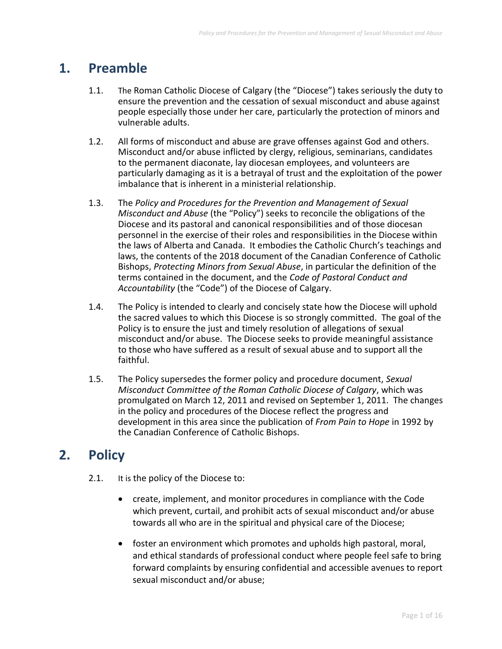### **1. Preamble**

- 1.1. The Roman Catholic Diocese of Calgary (the "Diocese") takes seriously the duty to ensure the prevention and the cessation of sexual misconduct and abuse against people especially those under her care, particularly the protection of minors and vulnerable adults.
- 1.2. All forms of misconduct and abuse are grave offenses against God and others. Misconduct and/or abuse inflicted by clergy, religious, seminarians, candidates to the permanent diaconate, lay diocesan employees, and volunteers are particularly damaging as it is a betrayal of trust and the exploitation of the power imbalance that is inherent in a ministerial relationship.
- 1.3. The *Policy and Procedures for the Prevention and Management of Sexual Misconduct and Abuse* (the "Policy") seeks to reconcile the obligations of the Diocese and its pastoral and canonical responsibilities and of those diocesan personnel in the exercise of their roles and responsibilities in the Diocese within the laws of Alberta and Canada. It embodies the Catholic Church's teachings and laws, the contents of the 2018 document of the Canadian Conference of Catholic Bishops, *Protecting Minors from Sexual Abuse*, in particular the definition of the terms contained in the document, and the *Code of Pastoral Conduct and Accountability* (the "Code") of the Diocese of Calgary.
- 1.4. The Policy is intended to clearly and concisely state how the Diocese will uphold the sacred values to which this Diocese is so strongly committed. The goal of the Policy is to ensure the just and timely resolution of allegations of sexual misconduct and/or abuse. The Diocese seeks to provide meaningful assistance to those who have suffered as a result of sexual abuse and to support all the faithful.
- 1.5. The Policy supersedes the former policy and procedure document, *Sexual Misconduct Committee of the Roman Catholic Diocese of Calgary*, which was promulgated on March 12, 2011 and revised on September 1, 2011. The changes in the policy and procedures of the Diocese reflect the progress and development in this area since the publication of *From Pain to Hope* in 1992 by the Canadian Conference of Catholic Bishops.

# **2. Policy**

- 2.1. It is the policy of the Diocese to:
	- create, implement, and monitor procedures in compliance with the Code which prevent, curtail, and prohibit acts of sexual misconduct and/or abuse towards all who are in the spiritual and physical care of the Diocese;
	- foster an environment which promotes and upholds high pastoral, moral, and ethical standards of professional conduct where people feel safe to bring forward complaints by ensuring confidential and accessible avenues to report sexual misconduct and/or abuse;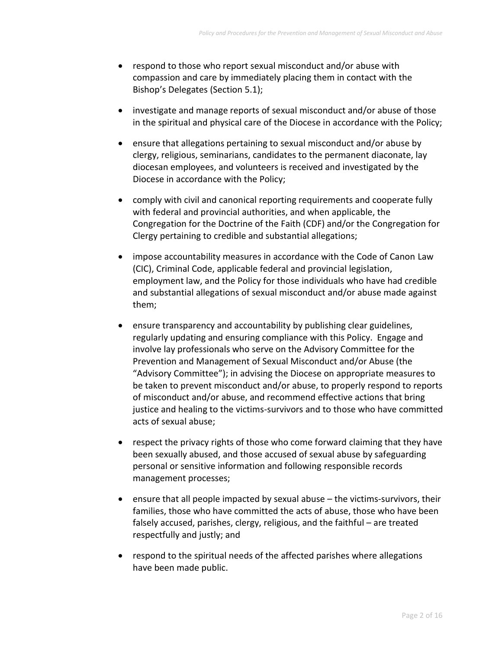- respond to those who report sexual misconduct and/or abuse with compassion and care by immediately placing them in contact with the Bishop's Delegates (Section 5.1);
- investigate and manage reports of sexual misconduct and/or abuse of those in the spiritual and physical care of the Diocese in accordance with the Policy;
- ensure that allegations pertaining to sexual misconduct and/or abuse by clergy, religious, seminarians, candidates to the permanent diaconate, lay diocesan employees, and volunteers is received and investigated by the Diocese in accordance with the Policy;
- comply with civil and canonical reporting requirements and cooperate fully with federal and provincial authorities, and when applicable, the Congregation for the Doctrine of the Faith (CDF) and/or the Congregation for Clergy pertaining to credible and substantial allegations;
- impose accountability measures in accordance with the Code of Canon Law (CIC), Criminal Code, applicable federal and provincial legislation, employment law, and the Policy for those individuals who have had credible and substantial allegations of sexual misconduct and/or abuse made against them;
- ensure transparency and accountability by publishing clear guidelines, regularly updating and ensuring compliance with this Policy. Engage and involve lay professionals who serve on the Advisory Committee for the Prevention and Management of Sexual Misconduct and/or Abuse (the "Advisory Committee"); in advising the Diocese on appropriate measures to be taken to prevent misconduct and/or abuse, to properly respond to reports of misconduct and/or abuse, and recommend effective actions that bring justice and healing to the victims-survivors and to those who have committed acts of sexual abuse;
- respect the privacy rights of those who come forward claiming that they have been sexually abused, and those accused of sexual abuse by safeguarding personal or sensitive information and following responsible records management processes;
- **e** ensure that all people impacted by sexual abuse  $-$  the victims-survivors, their families, those who have committed the acts of abuse, those who have been falsely accused, parishes, clergy, religious, and the faithful – are treated respectfully and justly; and
- respond to the spiritual needs of the affected parishes where allegations have been made public.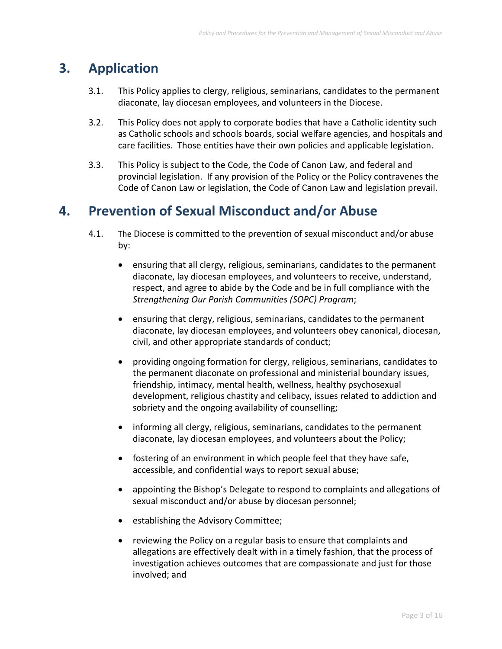## **3. Application**

- 3.1. This Policy applies to clergy, religious, seminarians, candidates to the permanent diaconate, lay diocesan employees, and volunteers in the Diocese.
- 3.2. This Policy does not apply to corporate bodies that have a Catholic identity such as Catholic schools and schools boards, social welfare agencies, and hospitals and care facilities. Those entities have their own policies and applicable legislation.
- 3.3. This Policy is subject to the Code, the Code of Canon Law, and federal and provincial legislation. If any provision of the Policy or the Policy contravenes the Code of Canon Law or legislation, the Code of Canon Law and legislation prevail.

### **4. Prevention of Sexual Misconduct and/or Abuse**

- 4.1. The Diocese is committed to the prevention of sexual misconduct and/or abuse by:
	- ensuring that all clergy, religious, seminarians, candidates to the permanent diaconate, lay diocesan employees, and volunteers to receive, understand, respect, and agree to abide by the Code and be in full compliance with the *Strengthening Our Parish Communities (SOPC) Program*;
	- ensuring that clergy, religious, seminarians, candidates to the permanent diaconate, lay diocesan employees, and volunteers obey canonical, diocesan, civil, and other appropriate standards of conduct;
	- providing ongoing formation for clergy, religious, seminarians, candidates to the permanent diaconate on professional and ministerial boundary issues, friendship, intimacy, mental health, wellness, healthy psychosexual development, religious chastity and celibacy, issues related to addiction and sobriety and the ongoing availability of counselling;
	- informing all clergy, religious, seminarians, candidates to the permanent diaconate, lay diocesan employees, and volunteers about the Policy;
	- fostering of an environment in which people feel that they have safe, accessible, and confidential ways to report sexual abuse;
	- appointing the Bishop's Delegate to respond to complaints and allegations of sexual misconduct and/or abuse by diocesan personnel;
	- **•** establishing the Advisory Committee;
	- reviewing the Policy on a regular basis to ensure that complaints and allegations are effectively dealt with in a timely fashion, that the process of investigation achieves outcomes that are compassionate and just for those involved; and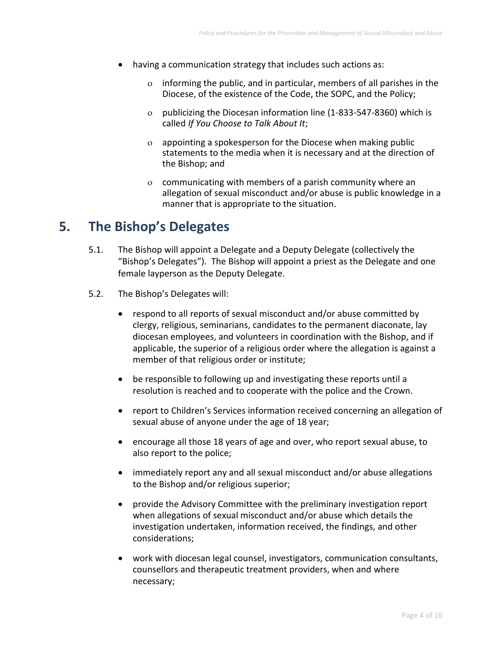- having a communication strategy that includes such actions as:
	- informing the public, and in particular, members of all parishes in the Diocese, of the existence of the Code, the SOPC, and the Policy;
	- $o$  publicizing the Diocesan information line (1-833-547-8360) which is called *If You Choose to Talk About It*;
	- $\alpha$  appointing a spokesperson for the Diocese when making public statements to the media when it is necessary and at the direction of the Bishop; and
	- communicating with members of a parish community where an allegation of sexual misconduct and/or abuse is public knowledge in a manner that is appropriate to the situation.

### **5. The Bishop's Delegates**

- 5.1. The Bishop will appoint a Delegate and a Deputy Delegate (collectively the "Bishop's Delegates"). The Bishop will appoint a priest as the Delegate and one female layperson as the Deputy Delegate.
- 5.2. The Bishop's Delegates will:
	- respond to all reports of sexual misconduct and/or abuse committed by clergy, religious, seminarians, candidates to the permanent diaconate, lay diocesan employees, and volunteers in coordination with the Bishop, and if applicable, the superior of a religious order where the allegation is against a member of that religious order or institute;
	- be responsible to following up and investigating these reports until a resolution is reached and to cooperate with the police and the Crown.
	- report to Children's Services information received concerning an allegation of sexual abuse of anyone under the age of 18 year;
	- encourage all those 18 years of age and over, who report sexual abuse, to also report to the police;
	- immediately report any and all sexual misconduct and/or abuse allegations to the Bishop and/or religious superior;
	- provide the Advisory Committee with the preliminary investigation report when allegations of sexual misconduct and/or abuse which details the investigation undertaken, information received, the findings, and other considerations;
	- work with diocesan legal counsel, investigators, communication consultants, counsellors and therapeutic treatment providers, when and where necessary;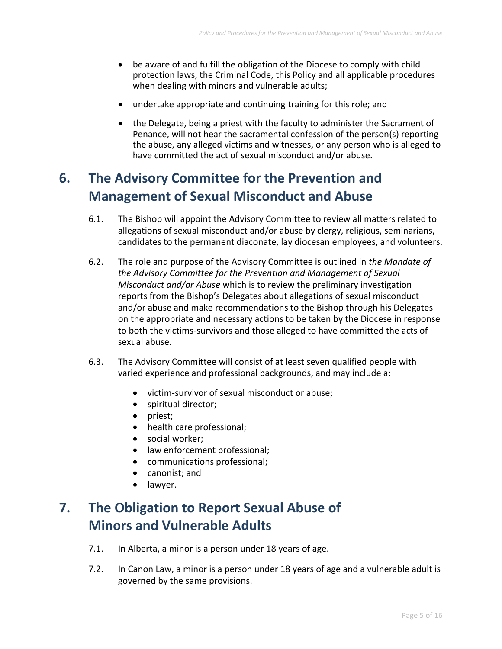- be aware of and fulfill the obligation of the Diocese to comply with child protection laws, the Criminal Code, this Policy and all applicable procedures when dealing with minors and vulnerable adults;
- undertake appropriate and continuing training for this role; and
- the Delegate, being a priest with the faculty to administer the Sacrament of Penance, will not hear the sacramental confession of the person(s) reporting the abuse, any alleged victims and witnesses, or any person who is alleged to have committed the act of sexual misconduct and/or abuse.

# **6. The Advisory Committee for the Prevention and Management of Sexual Misconduct and Abuse**

- 6.1. The Bishop will appoint the Advisory Committee to review all matters related to allegations of sexual misconduct and/or abuse by clergy, religious, seminarians, candidates to the permanent diaconate, lay diocesan employees, and volunteers.
- 6.2. The role and purpose of the Advisory Committee is outlined in *the Mandate of the Advisory Committee for the Prevention and Management of Sexual Misconduct and/or Abuse* which is to review the preliminary investigation reports from the Bishop's Delegates about allegations of sexual misconduct and/or abuse and make recommendations to the Bishop through his Delegates on the appropriate and necessary actions to be taken by the Diocese in response to both the victims-survivors and those alleged to have committed the acts of sexual abuse.
- 6.3. The Advisory Committee will consist of at least seven qualified people with varied experience and professional backgrounds, and may include a:
	- victim-survivor of sexual misconduct or abuse;
	- spiritual director;
	- priest;
	- health care professional;
	- social worker:
	- law enforcement professional;
	- communications professional;
	- canonist; and
	- lawyer.

## **7. The Obligation to Report Sexual Abuse of Minors and Vulnerable Adults**

- 7.1. In Alberta, a minor is a person under 18 years of age.
- 7.2. In Canon Law, a minor is a person under 18 years of age and a vulnerable adult is governed by the same provisions.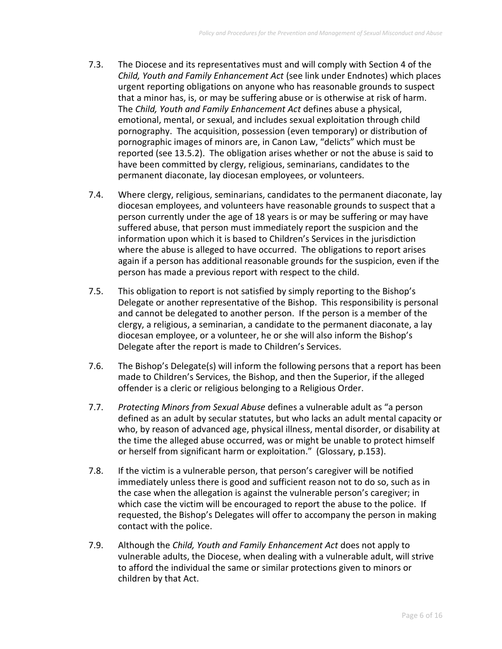- 7.3. The Diocese and its representatives must and will comply with Section 4 of the *Child, Youth and Family Enhancement Act* (see link under Endnotes) which places urgent reporting obligations on anyone who has reasonable grounds to suspect that a minor has, is, or may be suffering abuse or is otherwise at risk of harm. The *Child, Youth and Family Enhancement Act* defines abuse a physical, emotional, mental, or sexual, and includes sexual exploitation through child pornography. The acquisition, possession (even temporary) or distribution of pornographic images of minors are, in Canon Law, "delicts" which must be reported (see 13.5.2). The obligation arises whether or not the abuse is said to have been committed by clergy, religious, seminarians, candidates to the permanent diaconate, lay diocesan employees, or volunteers.
- 7.4. Where clergy, religious, seminarians, candidates to the permanent diaconate, lay diocesan employees, and volunteers have reasonable grounds to suspect that a person currently under the age of 18 years is or may be suffering or may have suffered abuse, that person must immediately report the suspicion and the information upon which it is based to Children's Services in the jurisdiction where the abuse is alleged to have occurred. The obligations to report arises again if a person has additional reasonable grounds for the suspicion, even if the person has made a previous report with respect to the child.
- 7.5. This obligation to report is not satisfied by simply reporting to the Bishop's Delegate or another representative of the Bishop. This responsibility is personal and cannot be delegated to another person. If the person is a member of the clergy, a religious, a seminarian, a candidate to the permanent diaconate, a lay diocesan employee, or a volunteer, he or she will also inform the Bishop's Delegate after the report is made to Children's Services.
- 7.6. The Bishop's Delegate(s) will inform the following persons that a report has been made to Children's Services, the Bishop, and then the Superior, if the alleged offender is a cleric or religious belonging to a Religious Order.
- 7.7. *Protecting Minors from Sexual Abuse* defines a vulnerable adult as "a person defined as an adult by secular statutes, but who lacks an adult mental capacity or who, by reason of advanced age, physical illness, mental disorder, or disability at the time the alleged abuse occurred, was or might be unable to protect himself or herself from significant harm or exploitation." (Glossary, p.153).
- 7.8. If the victim is a vulnerable person, that person's caregiver will be notified immediately unless there is good and sufficient reason not to do so, such as in the case when the allegation is against the vulnerable person's caregiver; in which case the victim will be encouraged to report the abuse to the police. If requested, the Bishop's Delegates will offer to accompany the person in making contact with the police.
- 7.9. Although the *Child, Youth and Family Enhancement Act* does not apply to vulnerable adults, the Diocese, when dealing with a vulnerable adult, will strive to afford the individual the same or similar protections given to minors or children by that Act.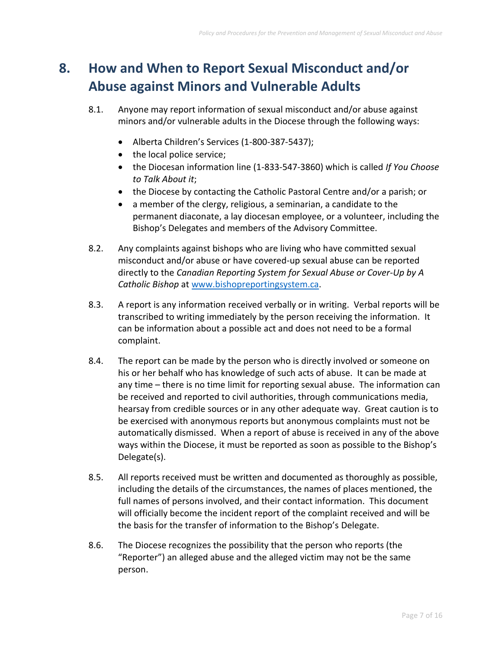# **8. How and When to Report Sexual Misconduct and/or Abuse against Minors and Vulnerable Adults**

- 8.1. Anyone may report information of sexual misconduct and/or abuse against minors and/or vulnerable adults in the Diocese through the following ways:
	- Alberta Children's Services (1-800-387-5437);
	- the local police service;
	- the Diocesan information line (1-833-547-3860) which is called *If You Choose to Talk About it*;
	- the Diocese by contacting the Catholic Pastoral Centre and/or a parish; or
	- a member of the clergy, religious, a seminarian, a candidate to the permanent diaconate, a lay diocesan employee, or a volunteer, including the Bishop's Delegates and members of the Advisory Committee.
- 8.2. Any complaints against bishops who are living who have committed sexual misconduct and/or abuse or have covered-up sexual abuse can be reported directly to the *Canadian Reporting System for Sexual Abuse or Cover-Up by A Catholic Bishop* at [www.bishopreportingsystem.ca.](http://www.bishopreportingsystem.ca/)
- 8.3. A report is any information received verbally or in writing. Verbal reports will be transcribed to writing immediately by the person receiving the information. It can be information about a possible act and does not need to be a formal complaint.
- 8.4. The report can be made by the person who is directly involved or someone on his or her behalf who has knowledge of such acts of abuse. It can be made at any time – there is no time limit for reporting sexual abuse. The information can be received and reported to civil authorities, through communications media, hearsay from credible sources or in any other adequate way. Great caution is to be exercised with anonymous reports but anonymous complaints must not be automatically dismissed. When a report of abuse is received in any of the above ways within the Diocese, it must be reported as soon as possible to the Bishop's Delegate(s).
- 8.5. All reports received must be written and documented as thoroughly as possible, including the details of the circumstances, the names of places mentioned, the full names of persons involved, and their contact information. This document will officially become the incident report of the complaint received and will be the basis for the transfer of information to the Bishop's Delegate.
- 8.6. The Diocese recognizes the possibility that the person who reports (the "Reporter") an alleged abuse and the alleged victim may not be the same person.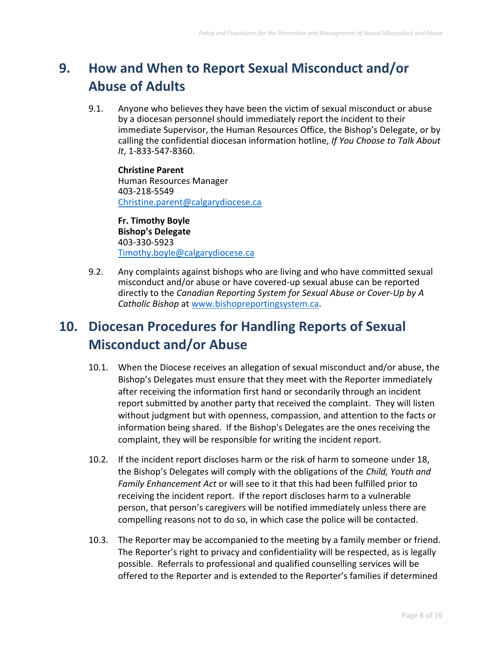# **9. How and When to Report Sexual Misconduct and/or Abuse of Adults**

9.1. Anyone who believes they have been the victim of sexual misconduct or abuse by a diocesan personnel should immediately report the incident to their immediate Supervisor, the Human Resources Office, the Bishop's Delegate, or by calling the confidential diocesan information hotline, *If You Choose to Talk About It*, 1-833-547-8360.

**Christine Parent** Human Resources Manager 403-218-5549 [Christine.parent@calgarydiocese.ca](mailto:Christine.parent@calgarydiocese.ca)

**Fr. Timothy Boyle Bishop's Delegate** 403-330-5923 [Timothy.boyle@calgarydiocese.ca](mailto:Timothy.boyle@calgarydiocese.ca)

9.2. Any complaints against bishops who are living and who have committed sexual misconduct and/or abuse or have covered-up sexual abuse can be reported directly to the *Canadian Reporting System for Sexual Abuse or Cover-Up by A Catholic Bishop* at [www.bishopreportingsystem.ca.](http://www.bishopreportingsystem.ca/)

## **10. Diocesan Procedures for Handling Reports of Sexual Misconduct and/or Abuse**

- 10.1. When the Diocese receives an allegation of sexual misconduct and/or abuse, the Bishop's Delegates must ensure that they meet with the Reporter immediately after receiving the information first hand or secondarily through an incident report submitted by another party that received the complaint. They will listen without judgment but with openness, compassion, and attention to the facts or information being shared. If the Bishop's Delegates are the ones receiving the complaint, they will be responsible for writing the incident report.
- 10.2. If the incident report discloses harm or the risk of harm to someone under 18, the Bishop's Delegates will comply with the obligations of the *Child, Youth and Family Enhancement Act* or will see to it that this had been fulfilled prior to receiving the incident report. If the report discloses harm to a vulnerable person, that person's caregivers will be notified immediately unless there are compelling reasons not to do so, in which case the police will be contacted.
- 10.3. The Reporter may be accompanied to the meeting by a family member or friend. The Reporter's right to privacy and confidentiality will be respected, as is legally possible. Referrals to professional and qualified counselling services will be offered to the Reporter and is extended to the Reporter's families if determined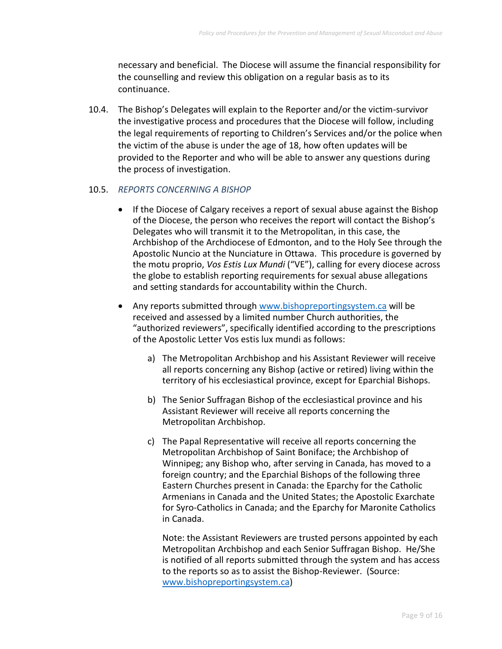necessary and beneficial. The Diocese will assume the financial responsibility for the counselling and review this obligation on a regular basis as to its continuance.

10.4. The Bishop's Delegates will explain to the Reporter and/or the victim-survivor the investigative process and procedures that the Diocese will follow, including the legal requirements of reporting to Children's Services and/or the police when the victim of the abuse is under the age of 18, how often updates will be provided to the Reporter and who will be able to answer any questions during the process of investigation.

#### 10.5. *REPORTS CONCERNING A BISHOP*

- If the Diocese of Calgary receives a report of sexual abuse against the Bishop of the Diocese, the person who receives the report will contact the Bishop's Delegates who will transmit it to the Metropolitan, in this case, the Archbishop of the Archdiocese of Edmonton, and to the Holy See through the Apostolic Nuncio at the Nunciature in Ottawa. This procedure is governed by the motu proprio, *Vos Estis Lux Mundi* ("VE"), calling for every diocese across the globe to establish reporting requirements for sexual abuse allegations and setting standards for accountability within the Church.
- Any reports submitted through [www.bishopreportingsystem.ca](http://www.bishopreportingsystem.ca/) will be received and assessed by a limited number Church authorities, the "authorized reviewers", specifically identified according to the prescriptions of the Apostolic Letter Vos estis lux mundi as follows:
	- a) The Metropolitan Archbishop and his Assistant Reviewer will receive all reports concerning any Bishop (active or retired) living within the territory of his ecclesiastical province, except for Eparchial Bishops.
	- b) The Senior Suffragan Bishop of the ecclesiastical province and his Assistant Reviewer will receive all reports concerning the Metropolitan Archbishop.
	- c) The Papal Representative will receive all reports concerning the Metropolitan Archbishop of Saint Boniface; the Archbishop of Winnipeg; any Bishop who, after serving in Canada, has moved to a foreign country; and the Eparchial Bishops of the following three Eastern Churches present in Canada: the Eparchy for the Catholic Armenians in Canada and the United States; the Apostolic Exarchate for Syro-Catholics in Canada; and the Eparchy for Maronite Catholics in Canada.

Note: the Assistant Reviewers are trusted persons appointed by each Metropolitan Archbishop and each Senior Suffragan Bishop. He/She is notified of all reports submitted through the system and has access to the reports so as to assist the Bishop-Reviewer. (Source: [www.bishopreportingsystem.ca\)](http://www.bishopreportingsystem.ca/)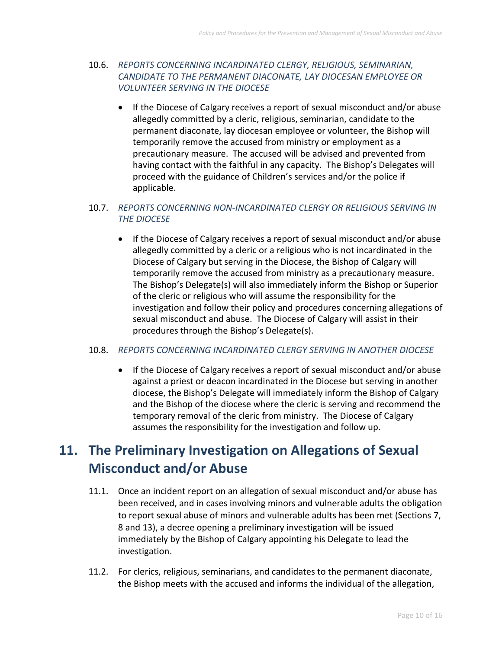#### 10.6. *REPORTS CONCERNING INCARDINATED CLERGY, RELIGIOUS, SEMINARIAN, CANDIDATE TO THE PERMANENT DIACONATE, LAY DIOCESAN EMPLOYEE OR VOLUNTEER SERVING IN THE DIOCESE*

• If the Diocese of Calgary receives a report of sexual misconduct and/or abuse allegedly committed by a cleric, religious, seminarian, candidate to the permanent diaconate, lay diocesan employee or volunteer, the Bishop will temporarily remove the accused from ministry or employment as a precautionary measure. The accused will be advised and prevented from having contact with the faithful in any capacity. The Bishop's Delegates will proceed with the guidance of Children's services and/or the police if applicable.

#### 10.7. *REPORTS CONCERNING NON-INCARDINATED CLERGY OR RELIGIOUS SERVING IN THE DIOCESE*

• If the Diocese of Calgary receives a report of sexual misconduct and/or abuse allegedly committed by a cleric or a religious who is not incardinated in the Diocese of Calgary but serving in the Diocese, the Bishop of Calgary will temporarily remove the accused from ministry as a precautionary measure. The Bishop's Delegate(s) will also immediately inform the Bishop or Superior of the cleric or religious who will assume the responsibility for the investigation and follow their policy and procedures concerning allegations of sexual misconduct and abuse. The Diocese of Calgary will assist in their procedures through the Bishop's Delegate(s).

#### 10.8. *REPORTS CONCERNING INCARDINATED CLERGY SERVING IN ANOTHER DIOCESE*

• If the Diocese of Calgary receives a report of sexual misconduct and/or abuse against a priest or deacon incardinated in the Diocese but serving in another diocese, the Bishop's Delegate will immediately inform the Bishop of Calgary and the Bishop of the diocese where the cleric is serving and recommend the temporary removal of the cleric from ministry. The Diocese of Calgary assumes the responsibility for the investigation and follow up.

# **11. The Preliminary Investigation on Allegations of Sexual Misconduct and/or Abuse**

- 11.1. Once an incident report on an allegation of sexual misconduct and/or abuse has been received, and in cases involving minors and vulnerable adults the obligation to report sexual abuse of minors and vulnerable adults has been met (Sections 7, 8 and 13), a decree opening a preliminary investigation will be issued immediately by the Bishop of Calgary appointing his Delegate to lead the investigation.
- 11.2. For clerics, religious, seminarians, and candidates to the permanent diaconate, the Bishop meets with the accused and informs the individual of the allegation,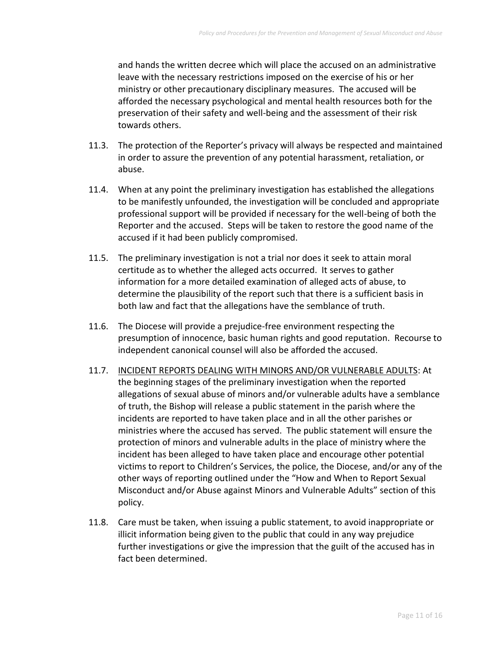and hands the written decree which will place the accused on an administrative leave with the necessary restrictions imposed on the exercise of his or her ministry or other precautionary disciplinary measures. The accused will be afforded the necessary psychological and mental health resources both for the preservation of their safety and well-being and the assessment of their risk towards others.

- 11.3. The protection of the Reporter's privacy will always be respected and maintained in order to assure the prevention of any potential harassment, retaliation, or abuse.
- 11.4. When at any point the preliminary investigation has established the allegations to be manifestly unfounded, the investigation will be concluded and appropriate professional support will be provided if necessary for the well-being of both the Reporter and the accused. Steps will be taken to restore the good name of the accused if it had been publicly compromised.
- 11.5. The preliminary investigation is not a trial nor does it seek to attain moral certitude as to whether the alleged acts occurred. It serves to gather information for a more detailed examination of alleged acts of abuse, to determine the plausibility of the report such that there is a sufficient basis in both law and fact that the allegations have the semblance of truth.
- 11.6. The Diocese will provide a prejudice-free environment respecting the presumption of innocence, basic human rights and good reputation. Recourse to independent canonical counsel will also be afforded the accused.
- 11.7. INCIDENT REPORTS DEALING WITH MINORS AND/OR VULNERABLE ADULTS: At the beginning stages of the preliminary investigation when the reported allegations of sexual abuse of minors and/or vulnerable adults have a semblance of truth, the Bishop will release a public statement in the parish where the incidents are reported to have taken place and in all the other parishes or ministries where the accused has served. The public statement will ensure the protection of minors and vulnerable adults in the place of ministry where the incident has been alleged to have taken place and encourage other potential victims to report to Children's Services, the police, the Diocese, and/or any of the other ways of reporting outlined under the "How and When to Report Sexual Misconduct and/or Abuse against Minors and Vulnerable Adults" section of this policy.
- 11.8. Care must be taken, when issuing a public statement, to avoid inappropriate or illicit information being given to the public that could in any way prejudice further investigations or give the impression that the guilt of the accused has in fact been determined.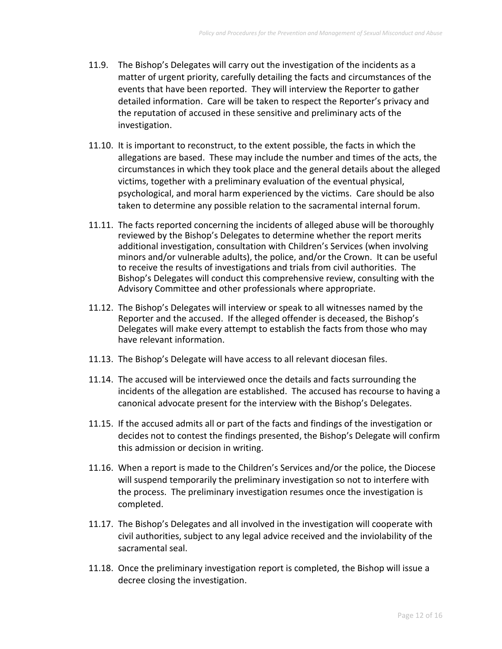- 11.9. The Bishop's Delegates will carry out the investigation of the incidents as a matter of urgent priority, carefully detailing the facts and circumstances of the events that have been reported. They will interview the Reporter to gather detailed information. Care will be taken to respect the Reporter's privacy and the reputation of accused in these sensitive and preliminary acts of the investigation.
- 11.10. It is important to reconstruct, to the extent possible, the facts in which the allegations are based. These may include the number and times of the acts, the circumstances in which they took place and the general details about the alleged victims, together with a preliminary evaluation of the eventual physical, psychological, and moral harm experienced by the victims. Care should be also taken to determine any possible relation to the sacramental internal forum.
- 11.11. The facts reported concerning the incidents of alleged abuse will be thoroughly reviewed by the Bishop's Delegates to determine whether the report merits additional investigation, consultation with Children's Services (when involving minors and/or vulnerable adults), the police, and/or the Crown. It can be useful to receive the results of investigations and trials from civil authorities. The Bishop's Delegates will conduct this comprehensive review, consulting with the Advisory Committee and other professionals where appropriate.
- 11.12. The Bishop's Delegates will interview or speak to all witnesses named by the Reporter and the accused. If the alleged offender is deceased, the Bishop's Delegates will make every attempt to establish the facts from those who may have relevant information.
- 11.13. The Bishop's Delegate will have access to all relevant diocesan files.
- 11.14. The accused will be interviewed once the details and facts surrounding the incidents of the allegation are established. The accused has recourse to having a canonical advocate present for the interview with the Bishop's Delegates.
- 11.15. If the accused admits all or part of the facts and findings of the investigation or decides not to contest the findings presented, the Bishop's Delegate will confirm this admission or decision in writing.
- 11.16. When a report is made to the Children's Services and/or the police, the Diocese will suspend temporarily the preliminary investigation so not to interfere with the process. The preliminary investigation resumes once the investigation is completed.
- 11.17. The Bishop's Delegates and all involved in the investigation will cooperate with civil authorities, subject to any legal advice received and the inviolability of the sacramental seal.
- 11.18. Once the preliminary investigation report is completed, the Bishop will issue a decree closing the investigation.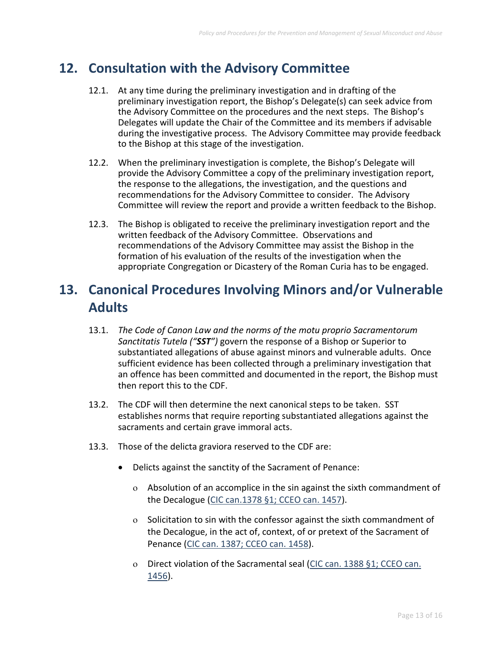### **12. Consultation with the Advisory Committee**

- 12.1. At any time during the preliminary investigation and in drafting of the preliminary investigation report, the Bishop's Delegate(s) can seek advice from the Advisory Committee on the procedures and the next steps. The Bishop's Delegates will update the Chair of the Committee and its members if advisable during the investigative process. The Advisory Committee may provide feedback to the Bishop at this stage of the investigation.
- 12.2. When the preliminary investigation is complete, the Bishop's Delegate will provide the Advisory Committee a copy of the preliminary investigation report, the response to the allegations, the investigation, and the questions and recommendations for the Advisory Committee to consider. The Advisory Committee will review the report and provide a written feedback to the Bishop.
- 12.3. The Bishop is obligated to receive the preliminary investigation report and the written feedback of the Advisory Committee. Observations and recommendations of the Advisory Committee may assist the Bishop in the formation of his evaluation of the results of the investigation when the appropriate Congregation or Dicastery of the Roman Curia has to be engaged.

### **13. Canonical Procedures Involving Minors and/or Vulnerable Adults**

- 13.1. *The Code of Canon Law and the norms of the motu proprio Sacramentorum Sanctitatis Tutela ("SST")* govern the response of a Bishop or Superior to substantiated allegations of abuse against minors and vulnerable adults. Once sufficient evidence has been collected through a preliminary investigation that an offence has been committed and documented in the report, the Bishop must then report this to the CDF.
- 13.2. The CDF will then determine the next canonical steps to be taken. SST establishes norms that require reporting substantiated allegations against the sacraments and certain grave immoral acts.
- 13.3. Those of the delicta graviora reserved to the CDF are:
	- Delicts against the sanctity of the Sacrament of Penance:
		- Absolution of an accomplice in the sin against the sixth commandment of the Decalogue (CIC can.1378 §1; CCEO can. 1457).
		- o Solicitation to sin with the confessor against the sixth commandment of the Decalogue, in the act of, context, of or pretext of the Sacrament of Penance (CIC can. 1387; CCEO can. 1458).
		- Direct violation of the Sacramental seal (CIC can. 1388 §1; CCEO can. 1456).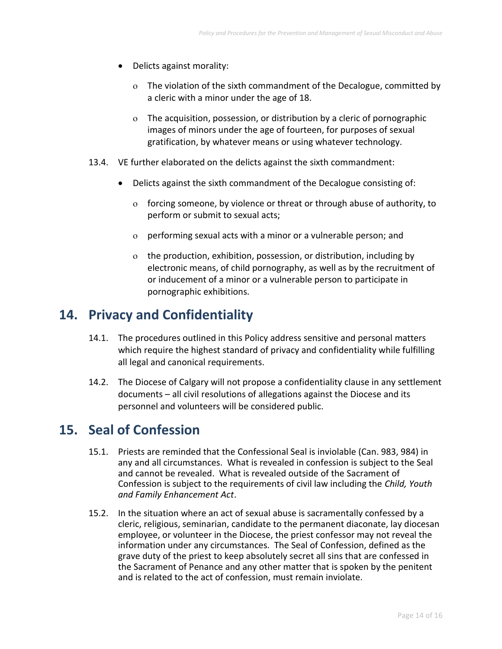- Delicts against morality:
	- The violation of the sixth commandment of the Decalogue, committed by a cleric with a minor under the age of 18.
	- The acquisition, possession, or distribution by a cleric of pornographic images of minors under the age of fourteen, for purposes of sexual gratification, by whatever means or using whatever technology.
- 13.4. VE further elaborated on the delicts against the sixth commandment:
	- Delicts against the sixth commandment of the Decalogue consisting of:
		- forcing someone, by violence or threat or through abuse of authority, to perform or submit to sexual acts;
		- performing sexual acts with a minor or a vulnerable person; and
		- the production, exhibition, possession, or distribution, including by electronic means, of child pornography, as well as by the recruitment of or inducement of a minor or a vulnerable person to participate in pornographic exhibitions.

### **14. Privacy and Confidentiality**

- 14.1. The procedures outlined in this Policy address sensitive and personal matters which require the highest standard of privacy and confidentiality while fulfilling all legal and canonical requirements.
- 14.2. The Diocese of Calgary will not propose a confidentiality clause in any settlement documents – all civil resolutions of allegations against the Diocese and its personnel and volunteers will be considered public.

### **15. Seal of Confession**

- 15.1. Priests are reminded that the Confessional Seal is inviolable (Can. 983, 984) in any and all circumstances. What is revealed in confession is subject to the Seal and cannot be revealed. What is revealed outside of the Sacrament of Confession is subject to the requirements of civil law including the *Child, Youth and Family Enhancement Act*.
- 15.2. In the situation where an act of sexual abuse is sacramentally confessed by a cleric, religious, seminarian, candidate to the permanent diaconate, lay diocesan employee, or volunteer in the Diocese, the priest confessor may not reveal the information under any circumstances. The Seal of Confession, defined as the grave duty of the priest to keep absolutely secret all sins that are confessed in the Sacrament of Penance and any other matter that is spoken by the penitent and is related to the act of confession, must remain inviolate.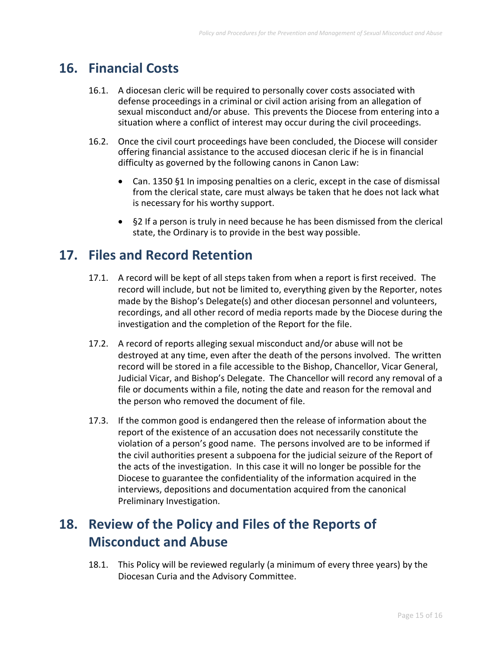### **16. Financial Costs**

- 16.1. A diocesan cleric will be required to personally cover costs associated with defense proceedings in a criminal or civil action arising from an allegation of sexual misconduct and/or abuse. This prevents the Diocese from entering into a situation where a conflict of interest may occur during the civil proceedings.
- 16.2. Once the civil court proceedings have been concluded, the Diocese will consider offering financial assistance to the accused diocesan cleric if he is in financial difficulty as governed by the following canons in Canon Law:
	- Can. 1350 §1 In imposing penalties on a cleric, except in the case of dismissal from the clerical state, care must always be taken that he does not lack what is necessary for his worthy support.
	- §2 If a person is truly in need because he has been dismissed from the clerical state, the Ordinary is to provide in the best way possible.

### **17. Files and Record Retention**

- 17.1. A record will be kept of all steps taken from when a report is first received. The record will include, but not be limited to, everything given by the Reporter, notes made by the Bishop's Delegate(s) and other diocesan personnel and volunteers, recordings, and all other record of media reports made by the Diocese during the investigation and the completion of the Report for the file.
- 17.2. A record of reports alleging sexual misconduct and/or abuse will not be destroyed at any time, even after the death of the persons involved. The written record will be stored in a file accessible to the Bishop, Chancellor, Vicar General, Judicial Vicar, and Bishop's Delegate. The Chancellor will record any removal of a file or documents within a file, noting the date and reason for the removal and the person who removed the document of file.
- 17.3. If the common good is endangered then the release of information about the report of the existence of an accusation does not necessarily constitute the violation of a person's good name. The persons involved are to be informed if the civil authorities present a subpoena for the judicial seizure of the Report of the acts of the investigation. In this case it will no longer be possible for the Diocese to guarantee the confidentiality of the information acquired in the interviews, depositions and documentation acquired from the canonical Preliminary Investigation.

# **18. Review of the Policy and Files of the Reports of Misconduct and Abuse**

18.1. This Policy will be reviewed regularly (a minimum of every three years) by the Diocesan Curia and the Advisory Committee.